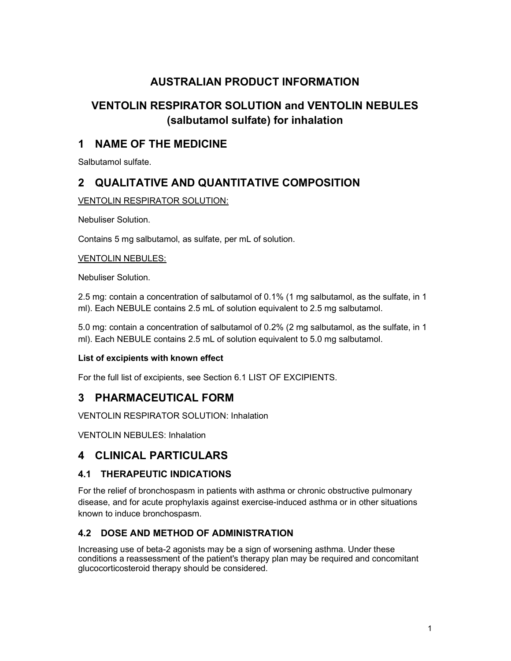# AUSTRALIAN PRODUCT INFORMATION

# VENTOLIN RESPIRATOR SOLUTION and VENTOLIN NEBULES (salbutamol sulfate) for inhalation

# 1 NAME OF THE MEDICINE

Salbutamol sulfate.

# 2 QUALITATIVE AND QUANTITATIVE COMPOSITION

### VENTOLIN RESPIRATOR SOLUTION:

Nebuliser Solution.

Contains 5 mg salbutamol, as sulfate, per mL of solution.

### VENTOLIN NEBULES:

Nebuliser Solution.

2.5 mg: contain a concentration of salbutamol of 0.1% (1 mg salbutamol, as the sulfate, in 1 ml). Each NEBULE contains 2.5 mL of solution equivalent to 2.5 mg salbutamol.

5.0 mg: contain a concentration of salbutamol of 0.2% (2 mg salbutamol, as the sulfate, in 1 ml). Each NEBULE contains 2.5 mL of solution equivalent to 5.0 mg salbutamol.

### List of excipients with known effect

For the full list of excipients, see Section 6.1 LIST OF EXCIPIENTS.

# 3 PHARMACEUTICAL FORM

VENTOLIN RESPIRATOR SOLUTION: Inhalation

VENTOLIN NEBULES: Inhalation

# 4 CLINICAL PARTICULARS

## 4.1 THERAPEUTIC INDICATIONS

For the relief of bronchospasm in patients with asthma or chronic obstructive pulmonary disease, and for acute prophylaxis against exercise-induced asthma or in other situations known to induce bronchospasm.

## 4.2 DOSE AND METHOD OF ADMINISTRATION

Increasing use of beta-2 agonists may be a sign of worsening asthma. Under these conditions a reassessment of the patient's therapy plan may be required and concomitant glucocorticosteroid therapy should be considered.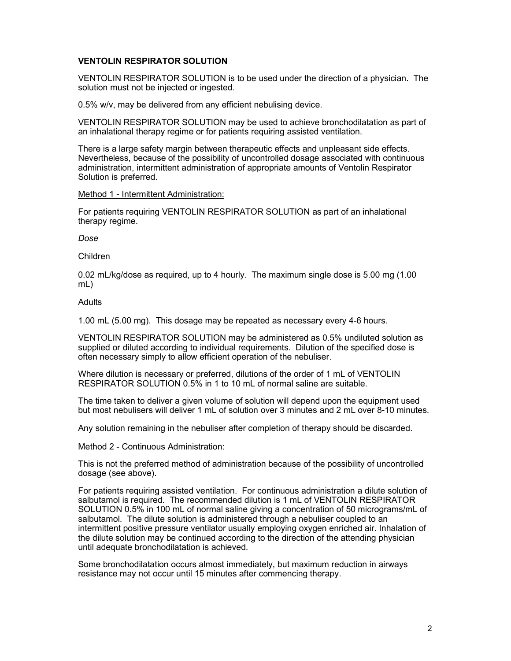#### VENTOLIN RESPIRATOR SOLUTION

VENTOLIN RESPIRATOR SOLUTION is to be used under the direction of a physician. The solution must not be injected or ingested.

0.5% w/v, may be delivered from any efficient nebulising device.

VENTOLIN RESPIRATOR SOLUTION may be used to achieve bronchodilatation as part of an inhalational therapy regime or for patients requiring assisted ventilation.

There is a large safety margin between therapeutic effects and unpleasant side effects. Nevertheless, because of the possibility of uncontrolled dosage associated with continuous administration, intermittent administration of appropriate amounts of Ventolin Respirator Solution is preferred.

#### Method 1 - Intermittent Administration:

For patients requiring VENTOLIN RESPIRATOR SOLUTION as part of an inhalational therapy regime.

#### Dose

Children

0.02 mL/kg/dose as required, up to 4 hourly. The maximum single dose is 5.00 mg (1.00 mL)

#### Adults

1.00 mL (5.00 mg). This dosage may be repeated as necessary every 4-6 hours.

VENTOLIN RESPIRATOR SOLUTION may be administered as 0.5% undiluted solution as supplied or diluted according to individual requirements. Dilution of the specified dose is often necessary simply to allow efficient operation of the nebuliser.

Where dilution is necessary or preferred, dilutions of the order of 1 mL of VENTOLIN RESPIRATOR SOLUTION 0.5% in 1 to 10 mL of normal saline are suitable.

The time taken to deliver a given volume of solution will depend upon the equipment used but most nebulisers will deliver 1 mL of solution over 3 minutes and 2 mL over 8-10 minutes.

Any solution remaining in the nebuliser after completion of therapy should be discarded.

#### Method 2 - Continuous Administration:

This is not the preferred method of administration because of the possibility of uncontrolled dosage (see above).

For patients requiring assisted ventilation. For continuous administration a dilute solution of salbutamol is required. The recommended dilution is 1 mL of VENTOLIN RESPIRATOR SOLUTION 0.5% in 100 mL of normal saline giving a concentration of 50 micrograms/mL of salbutamol. The dilute solution is administered through a nebuliser coupled to an intermittent positive pressure ventilator usually employing oxygen enriched air. Inhalation of the dilute solution may be continued according to the direction of the attending physician until adequate bronchodilatation is achieved.

Some bronchodilatation occurs almost immediately, but maximum reduction in airways resistance may not occur until 15 minutes after commencing therapy.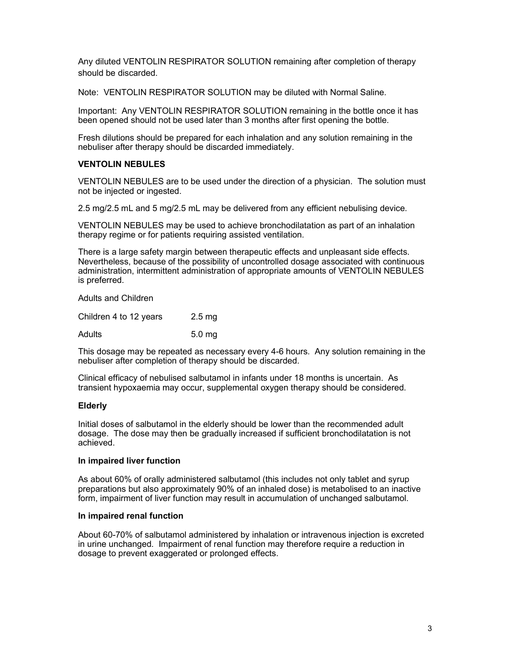Any diluted VENTOLIN RESPIRATOR SOLUTION remaining after completion of therapy should be discarded.

Note: VENTOLIN RESPIRATOR SOLUTION may be diluted with Normal Saline.

Important: Any VENTOLIN RESPIRATOR SOLUTION remaining in the bottle once it has been opened should not be used later than 3 months after first opening the bottle.

Fresh dilutions should be prepared for each inhalation and any solution remaining in the nebuliser after therapy should be discarded immediately.

#### VENTOLIN NEBULES

VENTOLIN NEBULES are to be used under the direction of a physician. The solution must not be injected or ingested.

2.5 mg/2.5 mL and 5 mg/2.5 mL may be delivered from any efficient nebulising device.

VENTOLIN NEBULES may be used to achieve bronchodilatation as part of an inhalation therapy regime or for patients requiring assisted ventilation.

There is a large safety margin between therapeutic effects and unpleasant side effects. Nevertheless, because of the possibility of uncontrolled dosage associated with continuous administration, intermittent administration of appropriate amounts of VENTOLIN NEBULES is preferred.

Adults and Children

Children 4 to 12 years 2.5 mg Adults 5.0 mg

This dosage may be repeated as necessary every 4-6 hours. Any solution remaining in the nebuliser after completion of therapy should be discarded.

Clinical efficacy of nebulised salbutamol in infants under 18 months is uncertain. As transient hypoxaemia may occur, supplemental oxygen therapy should be considered.

#### Elderly

Initial doses of salbutamol in the elderly should be lower than the recommended adult dosage. The dose may then be gradually increased if sufficient bronchodilatation is not achieved.

#### In impaired liver function

As about 60% of orally administered salbutamol (this includes not only tablet and syrup preparations but also approximately 90% of an inhaled dose) is metabolised to an inactive form, impairment of liver function may result in accumulation of unchanged salbutamol.

#### In impaired renal function

About 60-70% of salbutamol administered by inhalation or intravenous injection is excreted in urine unchanged. Impairment of renal function may therefore require a reduction in dosage to prevent exaggerated or prolonged effects.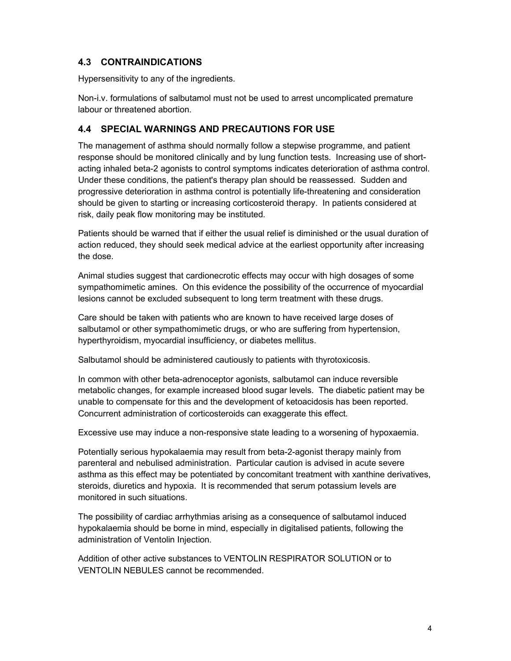## 4.3 CONTRAINDICATIONS

Hypersensitivity to any of the ingredients.

Non-i.v. formulations of salbutamol must not be used to arrest uncomplicated premature labour or threatened abortion.

### 4.4 SPECIAL WARNINGS AND PRECAUTIONS FOR USE

The management of asthma should normally follow a stepwise programme, and patient response should be monitored clinically and by lung function tests. Increasing use of shortacting inhaled beta-2 agonists to control symptoms indicates deterioration of asthma control. Under these conditions, the patient's therapy plan should be reassessed. Sudden and progressive deterioration in asthma control is potentially life-threatening and consideration should be given to starting or increasing corticosteroid therapy. In patients considered at risk, daily peak flow monitoring may be instituted.

Patients should be warned that if either the usual relief is diminished or the usual duration of action reduced, they should seek medical advice at the earliest opportunity after increasing the dose.

Animal studies suggest that cardionecrotic effects may occur with high dosages of some sympathomimetic amines. On this evidence the possibility of the occurrence of myocardial lesions cannot be excluded subsequent to long term treatment with these drugs.

Care should be taken with patients who are known to have received large doses of salbutamol or other sympathomimetic drugs, or who are suffering from hypertension, hyperthyroidism, myocardial insufficiency, or diabetes mellitus.

Salbutamol should be administered cautiously to patients with thyrotoxicosis.

In common with other beta-adrenoceptor agonists, salbutamol can induce reversible metabolic changes, for example increased blood sugar levels. The diabetic patient may be unable to compensate for this and the development of ketoacidosis has been reported. Concurrent administration of corticosteroids can exaggerate this effect.

Excessive use may induce a non-responsive state leading to a worsening of hypoxaemia.

Potentially serious hypokalaemia may result from beta-2-agonist therapy mainly from parenteral and nebulised administration. Particular caution is advised in acute severe asthma as this effect may be potentiated by concomitant treatment with xanthine derivatives, steroids, diuretics and hypoxia. It is recommended that serum potassium levels are monitored in such situations.

The possibility of cardiac arrhythmias arising as a consequence of salbutamol induced hypokalaemia should be borne in mind, especially in digitalised patients, following the administration of Ventolin Injection.

Addition of other active substances to VENTOLIN RESPIRATOR SOLUTION or to VENTOLIN NEBULES cannot be recommended.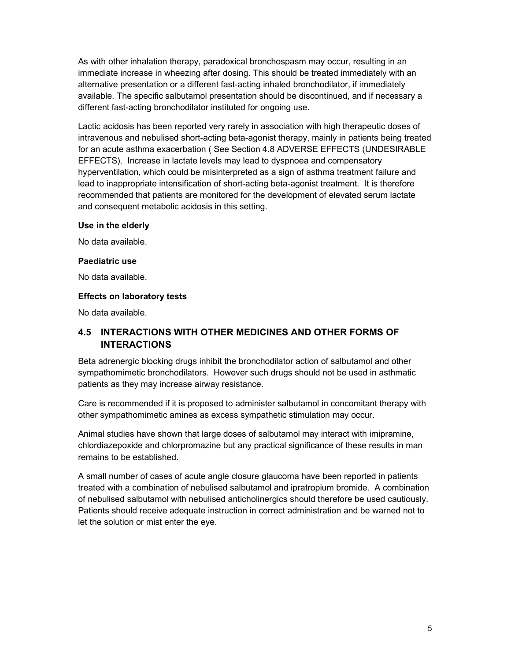As with other inhalation therapy, paradoxical bronchospasm may occur, resulting in an immediate increase in wheezing after dosing. This should be treated immediately with an alternative presentation or a different fast-acting inhaled bronchodilator, if immediately available. The specific salbutamol presentation should be discontinued, and if necessary a different fast-acting bronchodilator instituted for ongoing use.

Lactic acidosis has been reported very rarely in association with high therapeutic doses of intravenous and nebulised short-acting beta-agonist therapy, mainly in patients being treated for an acute asthma exacerbation ( See Section 4.8 ADVERSE EFFECTS (UNDESIRABLE EFFECTS). Increase in lactate levels may lead to dyspnoea and compensatory hyperventilation, which could be misinterpreted as a sign of asthma treatment failure and lead to inappropriate intensification of short-acting beta-agonist treatment. It is therefore recommended that patients are monitored for the development of elevated serum lactate and consequent metabolic acidosis in this setting.

#### Use in the elderly

No data available.

#### Paediatric use

No data available.

#### Effects on laboratory tests

No data available.

## 4.5 INTERACTIONS WITH OTHER MEDICINES AND OTHER FORMS OF INTERACTIONS

Beta adrenergic blocking drugs inhibit the bronchodilator action of salbutamol and other sympathomimetic bronchodilators. However such drugs should not be used in asthmatic patients as they may increase airway resistance.

Care is recommended if it is proposed to administer salbutamol in concomitant therapy with other sympathomimetic amines as excess sympathetic stimulation may occur.

Animal studies have shown that large doses of salbutamol may interact with imipramine, chlordiazepoxide and chlorpromazine but any practical significance of these results in man remains to be established.

A small number of cases of acute angle closure glaucoma have been reported in patients treated with a combination of nebulised salbutamol and ipratropium bromide. A combination of nebulised salbutamol with nebulised anticholinergics should therefore be used cautiously. Patients should receive adequate instruction in correct administration and be warned not to let the solution or mist enter the eye.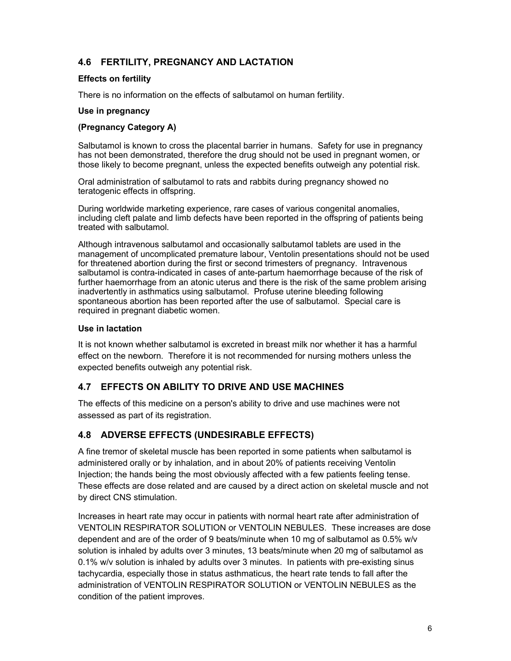## 4.6 FERTILITY, PREGNANCY AND LACTATION

#### Effects on fertility

There is no information on the effects of salbutamol on human fertility.

### Use in pregnancy

### (Pregnancy Category A)

Salbutamol is known to cross the placental barrier in humans. Safety for use in pregnancy has not been demonstrated, therefore the drug should not be used in pregnant women, or those likely to become pregnant, unless the expected benefits outweigh any potential risk.

Oral administration of salbutamol to rats and rabbits during pregnancy showed no teratogenic effects in offspring.

During worldwide marketing experience, rare cases of various congenital anomalies, including cleft palate and limb defects have been reported in the offspring of patients being treated with salbutamol.

Although intravenous salbutamol and occasionally salbutamol tablets are used in the management of uncomplicated premature labour, Ventolin presentations should not be used for threatened abortion during the first or second trimesters of pregnancy. Intravenous salbutamol is contra-indicated in cases of ante-partum haemorrhage because of the risk of further haemorrhage from an atonic uterus and there is the risk of the same problem arising inadvertently in asthmatics using salbutamol. Profuse uterine bleeding following spontaneous abortion has been reported after the use of salbutamol. Special care is required in pregnant diabetic women.

#### Use in lactation

It is not known whether salbutamol is excreted in breast milk nor whether it has a harmful effect on the newborn. Therefore it is not recommended for nursing mothers unless the expected benefits outweigh any potential risk.

## 4.7 EFFECTS ON ABILITY TO DRIVE AND USE MACHINES

The effects of this medicine on a person's ability to drive and use machines were not assessed as part of its registration.

## 4.8 ADVERSE EFFECTS (UNDESIRABLE EFFECTS)

A fine tremor of skeletal muscle has been reported in some patients when salbutamol is administered orally or by inhalation, and in about 20% of patients receiving Ventolin Injection; the hands being the most obviously affected with a few patients feeling tense. These effects are dose related and are caused by a direct action on skeletal muscle and not by direct CNS stimulation.

Increases in heart rate may occur in patients with normal heart rate after administration of VENTOLIN RESPIRATOR SOLUTION or VENTOLIN NEBULES. These increases are dose dependent and are of the order of 9 beats/minute when 10 mg of salbutamol as 0.5% w/v solution is inhaled by adults over 3 minutes, 13 beats/minute when 20 mg of salbutamol as 0.1% w/v solution is inhaled by adults over 3 minutes. In patients with pre-existing sinus tachycardia, especially those in status asthmaticus, the heart rate tends to fall after the administration of VENTOLIN RESPIRATOR SOLUTION or VENTOLIN NEBULES as the condition of the patient improves.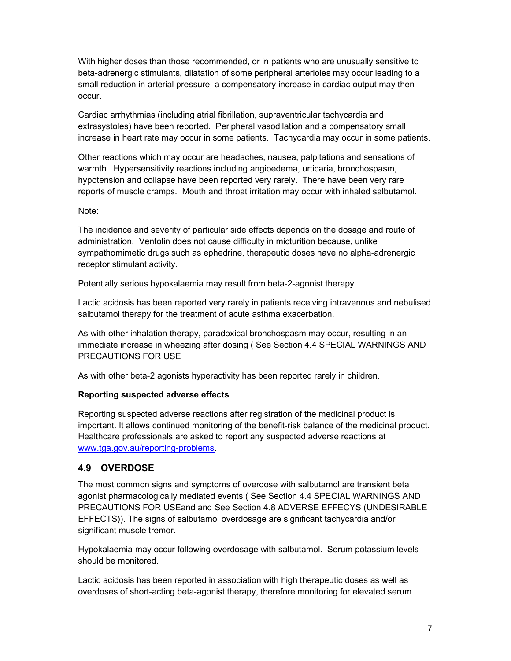With higher doses than those recommended, or in patients who are unusually sensitive to beta-adrenergic stimulants, dilatation of some peripheral arterioles may occur leading to a small reduction in arterial pressure; a compensatory increase in cardiac output may then occur.

Cardiac arrhythmias (including atrial fibrillation, supraventricular tachycardia and extrasystoles) have been reported. Peripheral vasodilation and a compensatory small increase in heart rate may occur in some patients. Tachycardia may occur in some patients.

Other reactions which may occur are headaches, nausea, palpitations and sensations of warmth. Hypersensitivity reactions including angioedema, urticaria, bronchospasm, hypotension and collapse have been reported very rarely. There have been very rare reports of muscle cramps. Mouth and throat irritation may occur with inhaled salbutamol.

#### Note:

The incidence and severity of particular side effects depends on the dosage and route of administration. Ventolin does not cause difficulty in micturition because, unlike sympathomimetic drugs such as ephedrine, therapeutic doses have no alpha-adrenergic receptor stimulant activity.

Potentially serious hypokalaemia may result from beta-2-agonist therapy.

Lactic acidosis has been reported very rarely in patients receiving intravenous and nebulised salbutamol therapy for the treatment of acute asthma exacerbation.

As with other inhalation therapy, paradoxical bronchospasm may occur, resulting in an immediate increase in wheezing after dosing ( See Section 4.4 SPECIAL WARNINGS AND PRECAUTIONS FOR USE

As with other beta-2 agonists hyperactivity has been reported rarely in children.

#### Reporting suspected adverse effects

Reporting suspected adverse reactions after registration of the medicinal product is important. It allows continued monitoring of the benefit-risk balance of the medicinal product. Healthcare professionals are asked to report any suspected adverse reactions at www.tga.gov.au/reporting-problems.

### 4.9 OVERDOSE

The most common signs and symptoms of overdose with salbutamol are transient beta agonist pharmacologically mediated events ( See Section 4.4 SPECIAL WARNINGS AND PRECAUTIONS FOR USEand and See Section 4.8 ADVERSE EFFECYS (UNDESIRABLE EFFECTS)). The signs of salbutamol overdosage are significant tachycardia and/or significant muscle tremor.

Hypokalaemia may occur following overdosage with salbutamol. Serum potassium levels should be monitored.

Lactic acidosis has been reported in association with high therapeutic doses as well as overdoses of short-acting beta-agonist therapy, therefore monitoring for elevated serum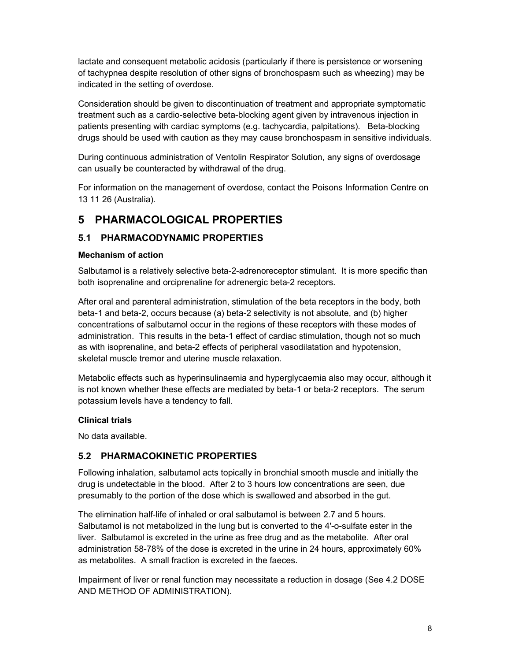lactate and consequent metabolic acidosis (particularly if there is persistence or worsening of tachypnea despite resolution of other signs of bronchospasm such as wheezing) may be indicated in the setting of overdose.

Consideration should be given to discontinuation of treatment and appropriate symptomatic treatment such as a cardio-selective beta-blocking agent given by intravenous injection in patients presenting with cardiac symptoms (e.g. tachycardia, palpitations). Beta-blocking drugs should be used with caution as they may cause bronchospasm in sensitive individuals.

During continuous administration of Ventolin Respirator Solution, any signs of overdosage can usually be counteracted by withdrawal of the drug.

For information on the management of overdose, contact the Poisons Information Centre on 13 11 26 (Australia).

# 5 PHARMACOLOGICAL PROPERTIES

## 5.1 PHARMACODYNAMIC PROPERTIES

### Mechanism of action

Salbutamol is a relatively selective beta-2-adrenoreceptor stimulant. It is more specific than both isoprenaline and orciprenaline for adrenergic beta-2 receptors.

After oral and parenteral administration, stimulation of the beta receptors in the body, both beta-1 and beta-2, occurs because (a) beta-2 selectivity is not absolute, and (b) higher concentrations of salbutamol occur in the regions of these receptors with these modes of administration. This results in the beta-1 effect of cardiac stimulation, though not so much as with isoprenaline, and beta-2 effects of peripheral vasodilatation and hypotension, skeletal muscle tremor and uterine muscle relaxation.

Metabolic effects such as hyperinsulinaemia and hyperglycaemia also may occur, although it is not known whether these effects are mediated by beta-1 or beta-2 receptors. The serum potassium levels have a tendency to fall.

### Clinical trials

No data available.

## 5.2 PHARMACOKINETIC PROPERTIES

Following inhalation, salbutamol acts topically in bronchial smooth muscle and initially the drug is undetectable in the blood. After 2 to 3 hours low concentrations are seen, due presumably to the portion of the dose which is swallowed and absorbed in the gut.

The elimination half-life of inhaled or oral salbutamol is between 2.7 and 5 hours. Salbutamol is not metabolized in the lung but is converted to the 4'-o-sulfate ester in the liver. Salbutamol is excreted in the urine as free drug and as the metabolite. After oral administration 58-78% of the dose is excreted in the urine in 24 hours, approximately 60% as metabolites. A small fraction is excreted in the faeces.

Impairment of liver or renal function may necessitate a reduction in dosage (See 4.2 DOSE AND METHOD OF ADMINISTRATION).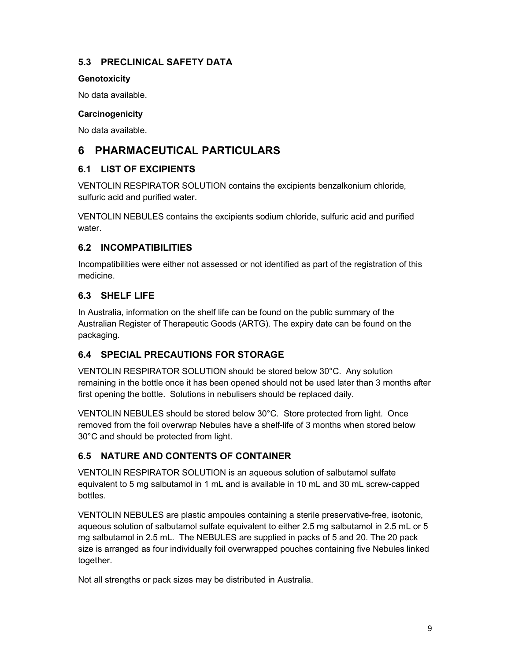## 5.3 PRECLINICAL SAFETY DATA

### **Genotoxicity**

No data available.

## **Carcinogenicity**

No data available.

# 6 PHARMACEUTICAL PARTICULARS

## 6.1 LIST OF EXCIPIENTS

VENTOLIN RESPIRATOR SOLUTION contains the excipients benzalkonium chloride, sulfuric acid and purified water.

VENTOLIN NEBULES contains the excipients sodium chloride, sulfuric acid and purified water.

## 6.2 INCOMPATIBILITIES

Incompatibilities were either not assessed or not identified as part of the registration of this medicine.

# 6.3 SHELF LIFE

In Australia, information on the shelf life can be found on the public summary of the Australian Register of Therapeutic Goods (ARTG). The expiry date can be found on the packaging.

# 6.4 SPECIAL PRECAUTIONS FOR STORAGE

VENTOLIN RESPIRATOR SOLUTION should be stored below 30°C. Any solution remaining in the bottle once it has been opened should not be used later than 3 months after first opening the bottle. Solutions in nebulisers should be replaced daily.

VENTOLIN NEBULES should be stored below 30°C. Store protected from light. Once removed from the foil overwrap Nebules have a shelf-life of 3 months when stored below 30°C and should be protected from light.

# 6.5 NATURE AND CONTENTS OF CONTAINER

VENTOLIN RESPIRATOR SOLUTION is an aqueous solution of salbutamol sulfate equivalent to 5 mg salbutamol in 1 mL and is available in 10 mL and 30 mL screw-capped bottles.

VENTOLIN NEBULES are plastic ampoules containing a sterile preservative-free, isotonic, aqueous solution of salbutamol sulfate equivalent to either 2.5 mg salbutamol in 2.5 mL or 5 mg salbutamol in 2.5 mL. The NEBULES are supplied in packs of 5 and 20. The 20 pack size is arranged as four individually foil overwrapped pouches containing five Nebules linked together.

Not all strengths or pack sizes may be distributed in Australia.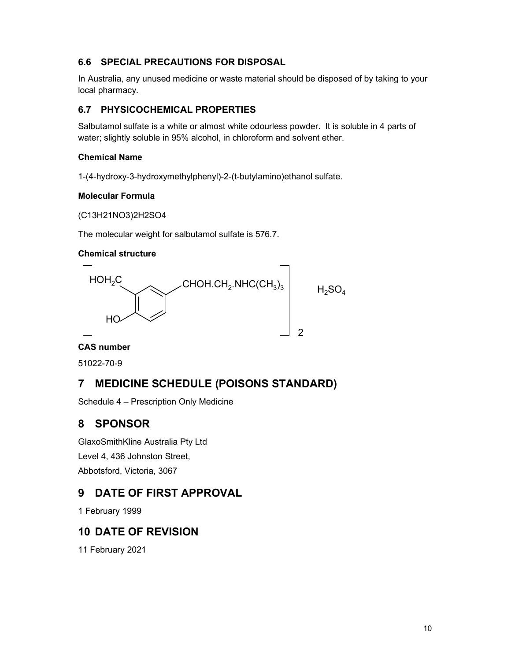## 6.6 SPECIAL PRECAUTIONS FOR DISPOSAL

In Australia, any unused medicine or waste material should be disposed of by taking to your local pharmacy.

## 6.7 PHYSICOCHEMICAL PROPERTIES

Salbutamol sulfate is a white or almost white odourless powder. It is soluble in 4 parts of water; slightly soluble in 95% alcohol, in chloroform and solvent ether.

### Chemical Name

1-(4-hydroxy-3-hydroxymethylphenyl)-2-(t-butylamino)ethanol sulfate.

### Molecular Formula

(C13H21NO3)2H2SO4

The molecular weight for salbutamol sulfate is 576.7.

### Chemical structure



### CAS number

51022-70-9

# 7 MEDICINE SCHEDULE (POISONS STANDARD)

Schedule 4 – Prescription Only Medicine

# 8 SPONSOR

GlaxoSmithKline Australia Pty Ltd Level 4, 436 Johnston Street, Abbotsford, Victoria, 3067

# 9 DATE OF FIRST APPROVAL

1 February 1999

# 10 DATE OF REVISION

11 February 2021